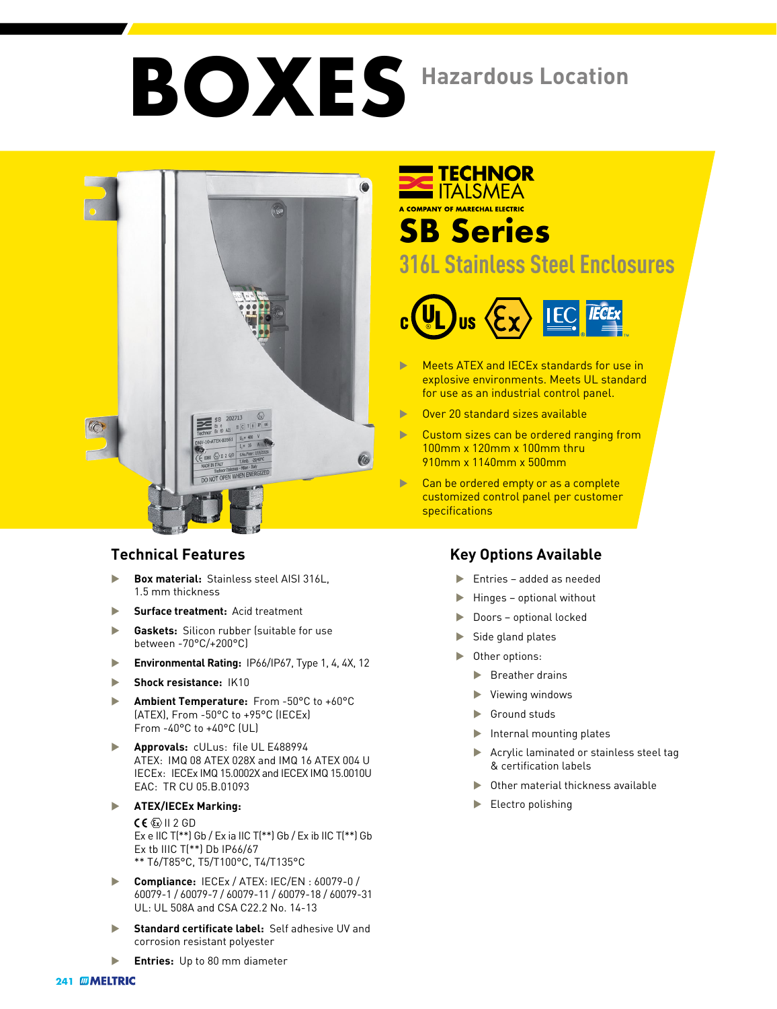# **BOXES Hazardous Location**



- **Box material: Stainless steel AISI 316L.** 1.5 mm thickness
- u **Surface treatment:** Acid treatment
- **Gaskets:** Silicon rubber (suitable for use between -70°C/+200°C)
- **Environmental Rating: IP66/IP67, Type 1, 4, 4X, 12**
- **Shock resistance: IK10**
- ▶ **Ambient Temperature:** From -50°C to +60°C (ATEX), From -50°C to +95°C (IECEx) From -40°C to +40°C (UL)
- **Approvals:** cULus: file UL E488994 ATEX: IMQ 08 ATEX 028X and IMQ 16 ATEX 004 U IECEx: IECEx IMQ 15.0002X and IECEX IMQ 15.0010U EAC: TR CU 05.B.01093
- **EXATEX/IECEX Marking:**

 $CE \times 112$  GD Ex e IIC T(\*\*) Gb / Ex ia IIC T(\*\*) Gb / Ex ib IIC T(\*\*) Gb Ex tb IIIC T(\*\*) Db IP66/67 \*\* T6/T85°C, T5/T100°C, T4/T135°C

- u **Compliance:** IECEx / ATEX: IEC/EN : 60079-0 / 60079-1 / 60079-7 / 60079-11 / 60079-18 / 60079-31 UL: UL 508A and CSA C22.2 No. 14-13
- **Standard certificate label:** Self adhesive UV and corrosion resistant polyester

#### **TECHNOR TALSMEA** A COMPANY OF MARECHAL ELECTRIC **SB Series**

### **316L Stainless Steel Enclosures**



- Meets ATEX and IECEx standards for use in explosive environments. Meets UL standard for use as an industrial control panel.
- **Diver 20 standard sizes available**
- $\blacktriangleright$  Custom sizes can be ordered ranging from 100mm x 120mm x 100mm thru 910mm x 1140mm x 500mm
- $\blacktriangleright$  Can be ordered empty or as a complete customized control panel per customer specifications

#### **Technical Features Key Options Available**

- $\blacktriangleright$  Entries added as needed
- $\blacktriangleright$  Hinges optional without
- $\blacktriangleright$  Doors optional locked
- Side gland plates
- Other options:
	- Breather drains
	- $\blacktriangleright$  Viewing windows
	- $\blacktriangleright$  Ground studs
	- $\blacktriangleright$  Internal mounting plates
	- $\blacktriangleright$  Acrylic laminated or stainless steel tag & certification labels
	- Other material thickness available
	- Electro polishing

**Entries:** Up to 80 mm diameter